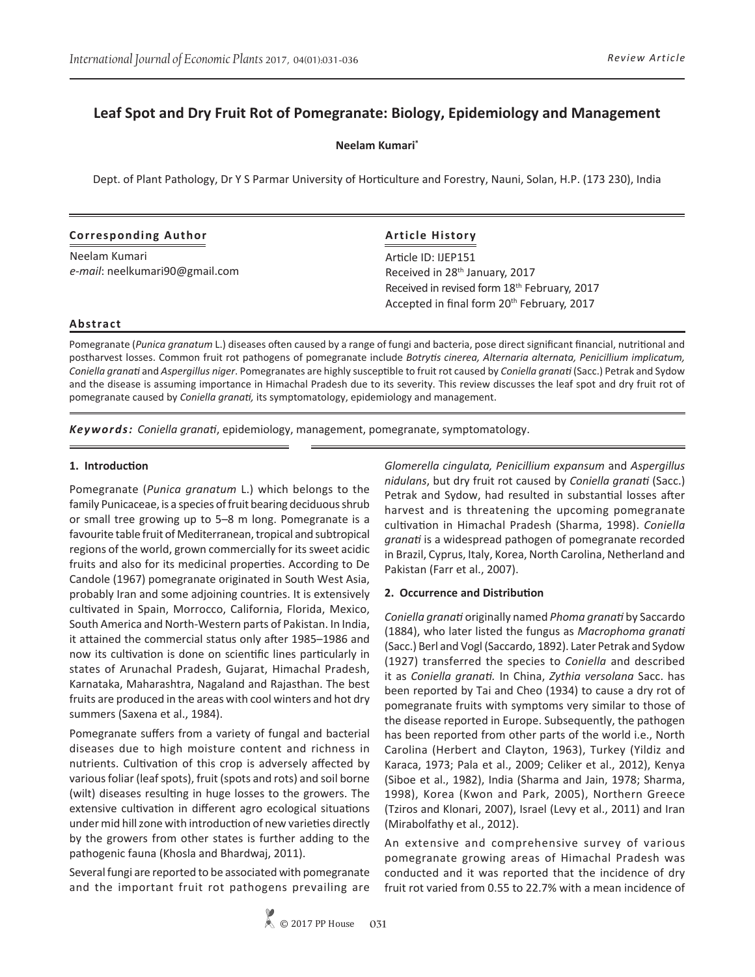# **Leaf Spot and Dry Fruit Rot of Pomegranate: Biology, Epidemiology and Management**

**Neelam Kumari\***

Dept. of Plant Pathology, Dr Y S Parmar University of Horticulture and Forestry, Nauni, Solan, H.P. (173 230), India

## **Corresponding Author**

Neelam Kumari *e-mail*: neelkumari90@gmail.com

# **Article History**

Article ID: IJEP151 Received in 28<sup>th</sup> January, 2017 Received in revised form 18th February, 2017 Accepted in final form 20<sup>th</sup> February, 2017

## **Abstract**

Pomegranate (*Punica granatum* L.) diseases often caused by a range of fungi and bacteria, pose direct significant financial, nutritional and postharvest losses. Common fruit rot pathogens of pomegranate include *Botrytis cinerea, Alternaria alternata, Penicillium implicatum, Coniella granati* and *Aspergillus niger*. Pomegranates are highly susceptible to fruit rot caused by *Coniella granati* (Sacc.) Petrak and Sydow and the disease is assuming importance in Himachal Pradesh due to its severity. This review discusses the leaf spot and dry fruit rot of pomegranate caused by *Coniella granati,* its symptomatology, epidemiology and management.

*Keywords: Coniella granati*, epidemiology, management, pomegranate, symptomatology.

## **1. Introduction**

Pomegranate (*Punica granatum* L.) which belongs to the family Punicaceae, is a species of fruit bearing deciduous shrub or small tree growing up to 5–8 m long. Pomegranate is a favourite table fruit of Mediterranean, tropical and subtropical regions of the world, grown commercially for its sweet acidic fruits and also for its medicinal properties. According to De Candole (1967) pomegranate originated in South West Asia, probably Iran and some adjoining countries. It is extensively cultivated in Spain, Morrocco, California, Florida, Mexico, South America and North-Western parts of Pakistan. In India, it attained the commercial status only after 1985–1986 and now its cultivation is done on scientific lines particularly in states of Arunachal Pradesh, Gujarat, Himachal Pradesh, Karnataka, Maharashtra, Nagaland and Rajasthan. The best fruits are produced in the areas with cool winters and hot dry summers (Saxena et al., 1984).

Pomegranate suffers from a variety of fungal and bacterial diseases due to high moisture content and richness in nutrients. Cultivation of this crop is adversely affected by various foliar (leaf spots), fruit (spots and rots) and soil borne (wilt) diseases resulting in huge losses to the growers. The extensive cultivation in different agro ecological situations under mid hill zone with introduction of new varieties directly by the growers from other states is further adding to the pathogenic fauna (Khosla and Bhardwaj, 2011).

Several fungi are reported to be associated with pomegranate and the important fruit rot pathogens prevailing are

*Glomerella cingulata, Penicillium expansum* and *Aspergillus nidulans*, but dry fruit rot caused by *Coniella granati* (Sacc.) Petrak and Sydow, had resulted in substantial losses after harvest and is threatening the upcoming pomegranate cultivation in Himachal Pradesh (Sharma, 1998). *Coniella granati* is a widespread pathogen of pomegranate recorded in Brazil, Cyprus, Italy, Korea, North Carolina, Netherland and Pakistan (Farr et al., 2007).

# **2. Occurrence and Distribution**

*Coniella granati* originally named *Phoma granati* by Saccardo (1884), who later listed the fungus as *Macrophoma granati* (Sacc.) Berl and Vogl (Saccardo, 1892). Later Petrak and Sydow (1927) transferred the species to *Coniella* and described it as *Coniella granati.* In China, *Zythia versolana* Sacc. has been reported by Tai and Cheo (1934) to cause a dry rot of pomegranate fruits with symptoms very similar to those of the disease reported in Europe. Subsequently, the pathogen has been reported from other parts of the world i.e., North Carolina (Herbert and Clayton, 1963), Turkey (Yildiz and Karaca, 1973; Pala et al., 2009; Celiker et al., 2012), Kenya (Siboe et al., 1982), India (Sharma and Jain, 1978; Sharma, 1998), Korea (Kwon and Park, 2005), Northern Greece (Tziros and Klonari, 2007), Israel (Levy et al., 2011) and Iran (Mirabolfathy et al., 2012).

An extensive and comprehensive survey of various pomegranate growing areas of Himachal Pradesh was conducted and it was reported that the incidence of dry fruit rot varied from 0.55 to 22.7% with a mean incidence of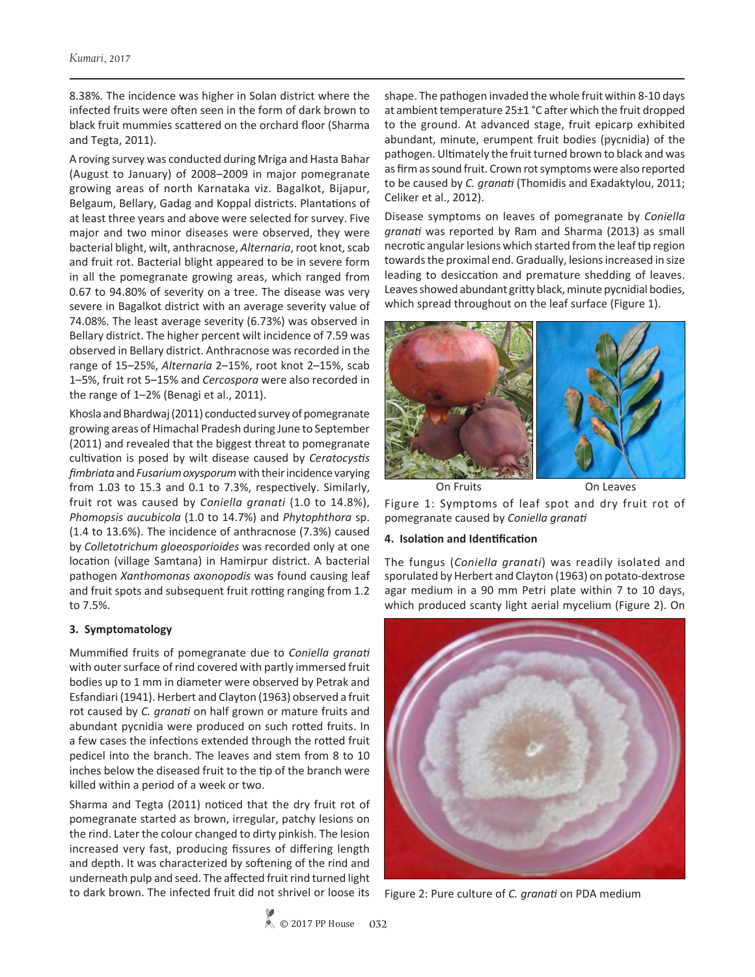8.38%. The incidence was higher in Solan district where the infected fruits were often seen in the form of dark brown to black fruit mummies scattered on the orchard floor (Sharma and Tegta, 2011).

A roving survey was conducted during Mriga and Hasta Bahar (August to January) of 2008–2009 in major pomegranate growing areas of north Karnataka viz. Bagalkot, Bijapur, Belgaum, Bellary, Gadag and Koppal districts. Plantations of at least three years and above were selected for survey. Five major and two minor diseases were observed, they were bacterial blight, wilt, anthracnose, *Alternaria*, root knot, scab and fruit rot. Bacterial blight appeared to be in severe form in all the pomegranate growing areas, which ranged from 0.67 to 94.80% of severity on a tree. The disease was very severe in Bagalkot district with an average severity value of 74.08%. The least average severity (6.73%) was observed in Bellary district. The higher percent wilt incidence of 7.59 was observed in Bellary district. Anthracnose was recorded in the range of 15–25%, *Alternaria* 2–15%, root knot 2–15%, scab 1–5%, fruit rot 5–15% and *Cercospora* were also recorded in the range of 1–2% (Benagi et al., 2011).

Khosla and Bhardwaj (2011) conducted survey of pomegranate growing areas of Himachal Pradesh during June to September (2011) and revealed that the biggest threat to pomegranate cultivation is posed by wilt disease caused by *Ceratocystis fimbriata* and *Fusarium oxysporum* with their incidence varying from 1.03 to 15.3 and 0.1 to 7.3%, respectively. Similarly, fruit rot was caused by *Coniella granati* (1.0 to 14.8%), *Phomopsis aucubicola* (1.0 to 14.7%) and *Phytophthora* sp. (1.4 to 13.6%). The incidence of anthracnose (7.3%) caused by *Colletotrichum gloeosporioides* was recorded only at one location (village Samtana) in Hamirpur district. A bacterial pathogen *Xanthomonas axonopodis* was found causing leaf and fruit spots and subsequent fruit rotting ranging from 1.2 to 7.5%.

## **3. Symptomatology**

Mummified fruits of pomegranate due to *Coniella granati* with outer surface of rind covered with partly immersed fruit bodies up to 1 mm in diameter were observed by Petrak and Esfandiari (1941). Herbert and Clayton (1963) observed a fruit rot caused by *C. granati* on half grown or mature fruits and abundant pycnidia were produced on such rotted fruits. In a few cases the infections extended through the rotted fruit pedicel into the branch. The leaves and stem from 8 to 10 inches below the diseased fruit to the tip of the branch were killed within a period of a week or two.

Sharma and Tegta (2011) noticed that the dry fruit rot of pomegranate started as brown, irregular, patchy lesions on the rind. Later the colour changed to dirty pinkish. The lesion increased very fast, producing fissures of differing length and depth. It was characterized by softening of the rind and underneath pulp and seed. The affected fruit rind turned light to dark brown. The infected fruit did not shrivel or loose its

shape. The pathogen invaded the whole fruit within 8-10 days at ambient temperature 25±1 °C after which the fruit dropped to the ground. At advanced stage, fruit epicarp exhibited abundant, minute, erumpent fruit bodies (pycnidia) of the pathogen. Ultimately the fruit turned brown to black and was as firm as sound fruit. Crown rot symptoms were also reported to be caused by *C. granati* (Thomidis and Exadaktylou, 2011; Celiker et al., 2012).

Disease symptoms on leaves of pomegranate by *Coniella granati* was reported by Ram and Sharma (2013) as small necrotic angular lesions which started from the leaf tip region towards the proximal end. Gradually, lesions increased in size leading to desiccation and premature shedding of leaves. Leaves showed abundant gritty black, minute pycnidial bodies, which spread throughout on the leaf surface (Figure 1).



Figure 1: Symptoms of leaf spot and dry fruit rot of pomegranate caused by *Coniella granati*

#### **4. Isolation and Identification**

The fungus (*Coniella granati*) was readily isolated and sporulated by Herbert and Clayton (1963) on potato-dextrose agar medium in a 90 mm Petri plate within 7 to 10 days, which produced scanty light aerial mycelium (Figure 2). On



Figure 2: Pure culture of *C. granati* on PDA medium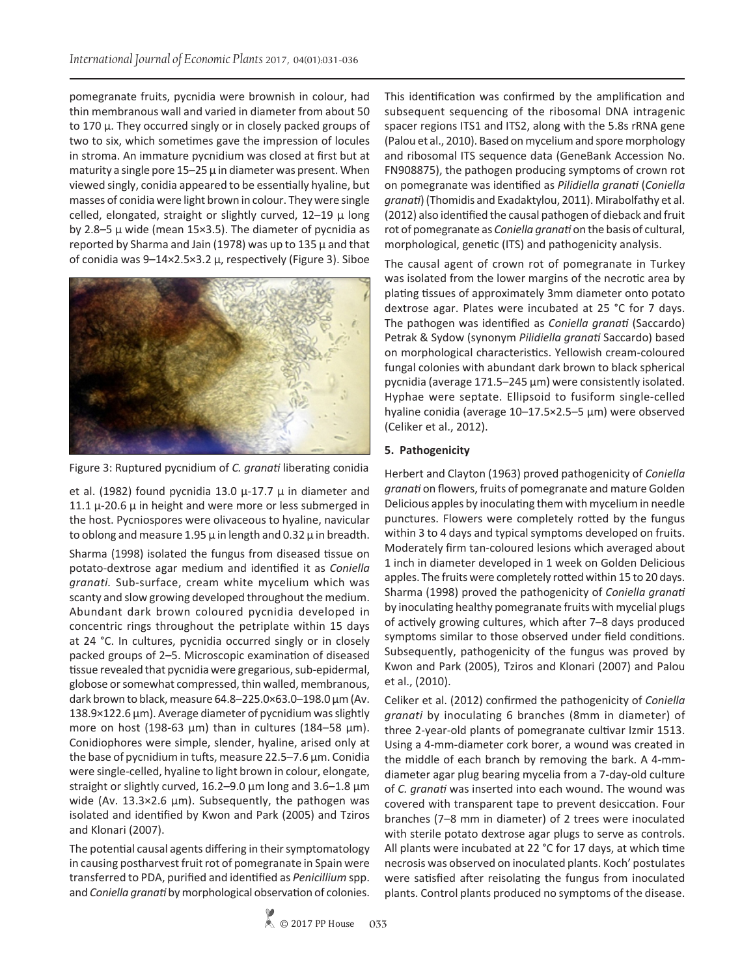pomegranate fruits, pycnidia were brownish in colour, had thin membranous wall and varied in diameter from about 50 to 170 μ. They occurred singly or in closely packed groups of two to six, which sometimes gave the impression of locules in stroma. An immature pycnidium was closed at first but at maturity a single pore  $15-25 \mu$  in diameter was present. When viewed singly, conidia appeared to be essentially hyaline, but masses of conidia were light brown in colour. They were single celled, elongated, straight or slightly curved,  $12-19$   $\mu$  long by 2.8–5 μ wide (mean 15×3.5). The diameter of pycnidia as reported by Sharma and Jain (1978) was up to 135  $\mu$  and that of conidia was 9–14×2.5×3.2 μ, respectively (Figure 3). Siboe



Figure 3: Ruptured pycnidium of *C. granati* liberating conidia

et al. (1982) found pycnidia 13.0  $\mu$ -17.7  $\mu$  in diameter and 11.1  $\mu$ -20.6  $\mu$  in height and were more or less submerged in the host. Pycniospores were olivaceous to hyaline, navicular to oblong and measure 1.95  $\mu$  in length and 0.32  $\mu$  in breadth.

Sharma (1998) isolated the fungus from diseased tissue on potato-dextrose agar medium and identified it as *Coniella granati.* Sub-surface, cream white mycelium which was scanty and slow growing developed throughout the medium. Abundant dark brown coloured pycnidia developed in concentric rings throughout the petriplate within 15 days at 24 °C. In cultures, pycnidia occurred singly or in closely packed groups of 2–5. Microscopic examination of diseased tissue revealed that pycnidia were gregarious, sub-epidermal, globose or somewhat compressed, thin walled, membranous, dark brown to black, measure 64.8–225.0×63.0–198.0 μm (Av. 138.9×122.6 μm). Average diameter of pycnidium was slightly more on host (198-63 μm) than in cultures (184–58 μm). Conidiophores were simple, slender, hyaline, arised only at the base of pycnidium in tufts, measure 22.5–7.6 μm. Conidia were single-celled, hyaline to light brown in colour, elongate, straight or slightly curved, 16.2–9.0 μm long and 3.6–1.8 μm wide (Av. 13.3×2.6 μm). Subsequently, the pathogen was isolated and identified by Kwon and Park (2005) and Tziros and Klonari (2007).

The potential causal agents differing in their symptomatology in causing postharvest fruit rot of pomegranate in Spain were transferred to PDA, purified and identified as *Penicillium* spp. and *Coniella granati* by morphological observation of colonies. This identification was confirmed by the amplification and subsequent sequencing of the ribosomal DNA intragenic spacer regions ITS1 and ITS2, along with the 5.8s rRNA gene (Palou et al., 2010). Based on mycelium and spore morphology and ribosomal ITS sequence data (GeneBank Accession No. FN908875), the pathogen producing symptoms of crown rot on pomegranate was identified as *Pilidiella granati* (*Coniella granati*) (Thomidis and Exadaktylou, 2011). Mirabolfathy et al. (2012) also identified the causal pathogen of dieback and fruit rot of pomegranate as *Coniella granati* on the basis of cultural, morphological, genetic (ITS) and pathogenicity analysis.

The causal agent of crown rot of pomegranate in Turkey was isolated from the lower margins of the necrotic area by plating tissues of approximately 3mm diameter onto potato dextrose agar. Plates were incubated at 25 °C for 7 days. The pathogen was identified as *Coniella granati* (Saccardo) Petrak & Sydow (synonym *Pilidiella granati* Saccardo) based on morphological characteristics. Yellowish cream-coloured fungal colonies with abundant dark brown to black spherical pycnidia (average 171.5–245 μm) were consistently isolated. Hyphae were septate. Ellipsoid to fusiform single-celled hyaline conidia (average 10–17.5×2.5–5 μm) were observed (Celiker et al., 2012).

# **5. Pathogenicity**

Herbert and Clayton (1963) proved pathogenicity of *Coniella granati* on flowers, fruits of pomegranate and mature Golden Delicious apples by inoculating them with mycelium in needle punctures. Flowers were completely rotted by the fungus within 3 to 4 days and typical symptoms developed on fruits. Moderately firm tan-coloured lesions which averaged about 1 inch in diameter developed in 1 week on Golden Delicious apples. The fruits were completely rotted within 15 to 20 days. Sharma (1998) proved the pathogenicity of *Coniella granati* by inoculating healthy pomegranate fruits with mycelial plugs of actively growing cultures, which after 7–8 days produced symptoms similar to those observed under field conditions. Subsequently, pathogenicity of the fungus was proved by Kwon and Park (2005), Tziros and Klonari (2007) and Palou et al., (2010).

Celiker et al. (2012) confirmed the pathogenicity of *Coniella granati* by inoculating 6 branches (8mm in diameter) of three 2-year-old plants of pomegranate cultivar Izmir 1513. Using a 4-mm-diameter cork borer, a wound was created in the middle of each branch by removing the bark. A 4-mmdiameter agar plug bearing mycelia from a 7-day-old culture of *C. granati* was inserted into each wound. The wound was covered with transparent tape to prevent desiccation. Four branches (7–8 mm in diameter) of 2 trees were inoculated with sterile potato dextrose agar plugs to serve as controls. All plants were incubated at 22 °C for 17 days, at which time necrosis was observed on inoculated plants. Koch' postulates were satisfied after reisolating the fungus from inoculated plants. Control plants produced no symptoms of the disease.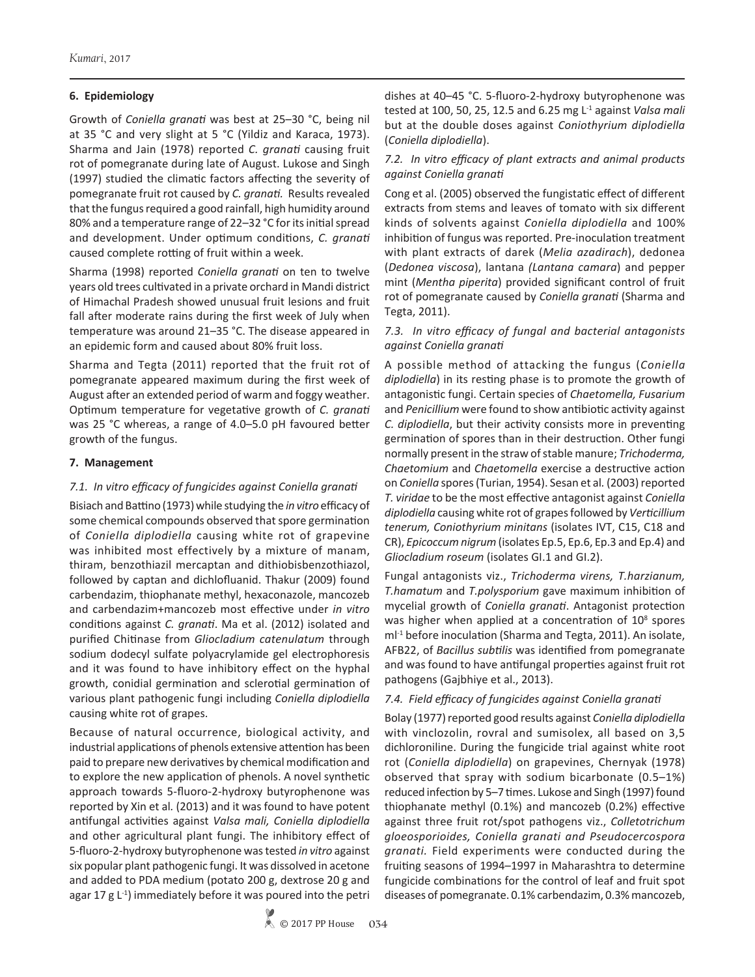## **6. Epidemiology**

Growth of *Coniella granati* was best at 25–30 °C, being nil at 35 °C and very slight at 5 °C (Yildiz and Karaca, 1973). Sharma and Jain (1978) reported *C. granati* causing fruit rot of pomegranate during late of August. Lukose and Singh (1997) studied the climatic factors affecting the severity of pomegranate fruit rot caused by *C. granati.* Results revealed that the fungus required a good rainfall, high humidity around 80% and a temperature range of 22–32 °C for its initial spread and development. Under optimum conditions, *C. granati*  caused complete rotting of fruit within a week.

Sharma (1998) reported *Coniella granati* on ten to twelve years old trees cultivated in a private orchard in Mandi district of Himachal Pradesh showed unusual fruit lesions and fruit fall after moderate rains during the first week of July when temperature was around 21–35 °C. The disease appeared in an epidemic form and caused about 80% fruit loss.

Sharma and Tegta (2011) reported that the fruit rot of pomegranate appeared maximum during the first week of August after an extended period of warm and foggy weather. Optimum temperature for vegetative growth of *C. granati* was 25 °C whereas, a range of 4.0–5.0 pH favoured better growth of the fungus.

## **7. Management**

#### *7.1. In vitro efficacy of fungicides against Coniella granati*

Bisiach and Battino (1973) while studying the *in vitro* efficacy of some chemical compounds observed that spore germination of *Coniella diplodiella* causing white rot of grapevine was inhibited most effectively by a mixture of manam, thiram, benzothiazil mercaptan and dithiobisbenzothiazol, followed by captan and dichlofluanid. Thakur (2009) found carbendazim, thiophanate methyl, hexaconazole, mancozeb and carbendazim+mancozeb most effective under *in vitro* conditions against *C. granati*. Ma et al. (2012) isolated and purified Chitinase from *Gliocladium catenulatum* through sodium dodecyl sulfate polyacrylamide gel electrophoresis and it was found to have inhibitory effect on the hyphal growth, conidial germination and sclerotial germination of various plant pathogenic fungi including *Coniella diplodiella* causing white rot of grapes.

Because of natural occurrence, biological activity, and industrial applications of phenols extensive attention has been paid to prepare new derivatives by chemical modification and to explore the new application of phenols. A novel synthetic approach towards 5-fluoro-2-hydroxy butyrophenone was reported by Xin et al*.* (2013) and it was found to have potent antifungal activities against *Valsa mali, Coniella diplodiella* and other agricultural plant fungi. The inhibitory effect of 5-fluoro-2-hydroxy butyrophenone was tested *in vitro* against six popular plant pathogenic fungi. It was dissolved in acetone and added to PDA medium (potato 200 g, dextrose 20 g and agar 17 g  $L^{-1}$ ) immediately before it was poured into the petri

dishes at 40–45 °C. 5-fluoro-2-hydroxy butyrophenone was tested at 100, 50, 25, 12.5 and 6.25 mg L-1 against *Valsa mali* but at the double doses against *Coniothyrium diplodiella*  (*Coniella diplodiella*).

## *7.2. In vitro efficacy of plant extracts and animal products against Coniella granati*

Cong et al. (2005) observed the fungistatic effect of different extracts from stems and leaves of tomato with six different kinds of solvents against *Coniella diplodiella* and 100% inhibition of fungus was reported. Pre-inoculation treatment with plant extracts of darek (*Melia azadirach*), dedonea (*Dedonea viscosa*), lantana *(Lantana camara*) and pepper mint (*Mentha piperita*) provided significant control of fruit rot of pomegranate caused by *Coniella granati* (Sharma and Tegta, 2011).

## *7.3. In vitro efficacy of fungal and bacterial antagonists against Coniella granati*

A possible method of attacking the fungus (*Coniella diplodiella*) in its resting phase is to promote the growth of antagonistic fungi. Certain species of *Chaetomella, Fusarium* and *Penicillium* were found to show antibiotic activity against *C. diplodiella*, but their activity consists more in preventing germination of spores than in their destruction. Other fungi normally present in the straw of stable manure; *Trichoderma, Chaetomium* and *Chaetomella* exercise a destructive action on *Coniella* spores (Turian, 1954). Sesan et al*.* (2003) reported *T. viridae* to be the most effective antagonist against *Coniella diplodiella* causing white rot of grapes followed by *Verticillium tenerum, Coniothyrium minitans* (isolates IVT, C15, C18 and CR), *Epicoccum nigrum* (isolates Ep.5, Ep.6, Ep.3 and Ep.4) and *Gliocladium roseum* (isolates GI.1 and GI.2).

Fungal antagonists viz., *Trichoderma virens, T.harzianum, T.hamatum* and *T.polysporium* gave maximum inhibition of mycelial growth of *Coniella granati*. Antagonist protection was higher when applied at a concentration of  $10^8$  spores ml<sup>-1</sup> before inoculation (Sharma and Tegta, 2011). An isolate, AFB22, of *Bacillus subtilis* was identified from pomegranate and was found to have antifungal properties against fruit rot pathogens (Gajbhiye et al., 2013).

## *7.4. Field efficacy of fungicides against Coniella granati*

Bolay (1977) reported good results against *Coniella diplodiella* with vinclozolin, rovral and sumisolex, all based on 3,5 dichloroniline. During the fungicide trial against white root rot (*Coniella diplodiella*) on grapevines, Chernyak (1978) observed that spray with sodium bicarbonate (0.5–1%) reduced infection by 5–7 times. Lukose and Singh (1997) found thiophanate methyl (0.1%) and mancozeb (0.2%) effective against three fruit rot/spot pathogens viz., *Colletotrichum gloeosporioides, Coniella granati and Pseudocercospora granati.* Field experiments were conducted during the fruiting seasons of 1994–1997 in Maharashtra to determine fungicide combinations for the control of leaf and fruit spot diseases of pomegranate. 0.1% carbendazim, 0.3% mancozeb,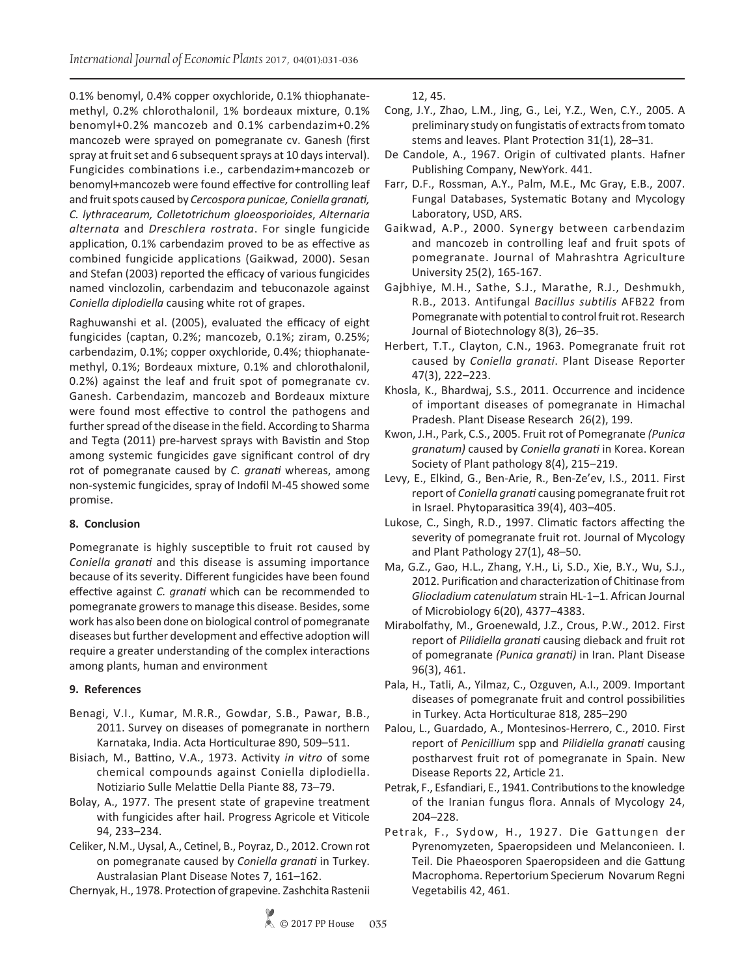0.1% benomyl, 0.4% copper oxychloride, 0.1% thiophanatemethyl, 0.2% chlorothalonil, 1% bordeaux mixture, 0.1% benomyl+0.2% mancozeb and 0.1% carbendazim+0.2% mancozeb were sprayed on pomegranate cv. Ganesh (first spray at fruit set and 6 subsequent sprays at 10 days interval). Fungicides combinations i.e., carbendazim+mancozeb or benomyl+mancozeb were found effective for controlling leaf and fruit spots caused by *Cercospora punicae, Coniella granati, C. lythracearum, Colletotrichum gloeosporioides*, *Alternaria alternata* and *Dreschlera rostrata*. For single fungicide application, 0.1% carbendazim proved to be as effective as combined fungicide applications (Gaikwad, 2000). Sesan and Stefan (2003) reported the efficacy of various fungicides named vinclozolin, carbendazim and tebuconazole against *Coniella diplodiella* causing white rot of grapes.

Raghuwanshi et al. (2005), evaluated the efficacy of eight fungicides (captan, 0.2%; mancozeb, 0.1%; ziram, 0.25%; carbendazim, 0.1%; copper oxychloride, 0.4%; thiophanatemethyl, 0.1%; Bordeaux mixture, 0.1% and chlorothalonil, 0.2%) against the leaf and fruit spot of pomegranate cv. Ganesh. Carbendazim, mancozeb and Bordeaux mixture were found most effective to control the pathogens and further spread of the disease in the field. According to Sharma and Tegta (2011) pre-harvest sprays with Bavistin and Stop among systemic fungicides gave significant control of dry rot of pomegranate caused by *C. granati* whereas, among non-systemic fungicides, spray of Indofil M-45 showed some promise.

# **8. Conclusion**

Pomegranate is highly susceptible to fruit rot caused by *Coniella granati* and this disease is assuming importance because of its severity. Different fungicides have been found effective against *C. granati* which can be recommended to pomegranate growers to manage this disease. Besides, some work has also been done on biological control of pomegranate diseases but further development and effective adoption will require a greater understanding of the complex interactions among plants, human and environment

# **9. References**

- Benagi, V.I., Kumar, M.R.R., Gowdar, S.B., Pawar, B.B., 2011. Survey on diseases of pomegranate in northern Karnataka, India. Acta Horticulturae 890, 509–511.
- Bisiach, M., Battino, V.A., 1973. Activity *in vitro* of some chemical compounds against Coniella diplodiella. Notiziario Sulle Melattie Della Piante 88, 73–79.
- Bolay, A., 1977. The present state of grapevine treatment with fungicides after hail. Progress Agricole et Viticole 94, 233–234.
- Celiker, N.M., Uysal, A., Cetinel, B., Poyraz, D., 2012. Crown rot on pomegranate caused by *Coniella granati* in Turkey. Australasian Plant Disease Notes 7, 161–162.
- Chernyak, H., 1978. Protection of grapevine*.* Zashchita Rastenii

12, 45.

- Cong, J.Y., Zhao, L.M., Jing, G., Lei, Y.Z., Wen, C.Y., 2005. A preliminary study on fungistatis of extracts from tomato stems and leaves. Plant Protection 31(1), 28–31.
- De Candole, A., 1967. Origin of cultivated plants. Hafner Publishing Company, NewYork. 441.
- Farr, D.F., Rossman, A.Y., Palm, M.E., Mc Gray, E.B., 2007. Fungal Databases, Systematic Botany and Mycology Laboratory, USD, ARS.
- Gaikwad, A.P., 2000. Synergy between carbendazim and mancozeb in controlling leaf and fruit spots of pomegranate. Journal of Mahrashtra Agriculture University 25(2), 165-167.
- Gajbhiye, M.H., Sathe, S.J., Marathe, R.J., Deshmukh, R.B., 2013. Antifungal *Bacillus subtilis* AFB22 from Pomegranate with potential to control fruit rot. Research Journal of Biotechnology 8(3), 26–35.
- Herbert, T.T., Clayton, C.N., 1963. Pomegranate fruit rot caused by *Coniella granati*. Plant Disease Reporter 47(3), 222–223.
- Khosla, K., Bhardwaj, S.S., 2011. Occurrence and incidence of important diseases of pomegranate in Himachal Pradesh. Plant Disease Research 26(2), 199.
- Kwon, J.H., Park, C.S., 2005. Fruit rot of Pomegranate *(Punica granatum)* caused by *Coniella granati* in Korea. Korean Society of Plant pathology 8(4), 215–219.
- Levy, E., Elkind, G., Ben-Arie, R., Ben-Ze'ev, I.S., 2011. First report of *Coniella granati* causing pomegranate fruit rot in Israel. Phytoparasitica 39(4), 403–405.
- Lukose, C., Singh, R.D., 1997. Climatic factors affecting the severity of pomegranate fruit rot. Journal of Mycology and Plant Pathology 27(1), 48–50.
- Ma, G.Z., Gao, H.L., Zhang, Y.H., Li, S.D., Xie, B.Y., Wu, S.J., 2012. Purification and characterization of Chitinase from *Gliocladium catenulatum* strain HL-1–1. African Journal of Microbiology 6(20), 4377–4383.
- Mirabolfathy, M., Groenewald, J.Z., Crous, P.W., 2012. First report of *Pilidiella granati* causing dieback and fruit rot of pomegranate *(Punica granati)* in Iran. Plant Disease 96(3), 461.
- Pala, H., Tatli, A., Yilmaz, C., Ozguven, A.I., 2009. Important diseases of pomegranate fruit and control possibilities in Turkey. Acta Horticulturae 818, 285–290
- Palou, L., Guardado, A., Montesinos-Herrero, C., 2010. First report of *Penicillium* spp and *Pilidiella granati* causing postharvest fruit rot of pomegranate in Spain. New Disease Reports 22, Article 21.
- Petrak, F., Esfandiari, E., 1941. Contributions to the knowledge of the Iranian fungus flora. Annals of Mycology 24, 204–228.
- Petrak, F., Sydow, H., 1927. Die Gattungen der Pyrenomyzeten, Spaeropsideen und Melanconieen. I. Teil. Die Phaeosporen Spaeropsideen and die Gattung Macrophoma. Repertorium Specierum Novarum Regni Vegetabilis 42, 461.